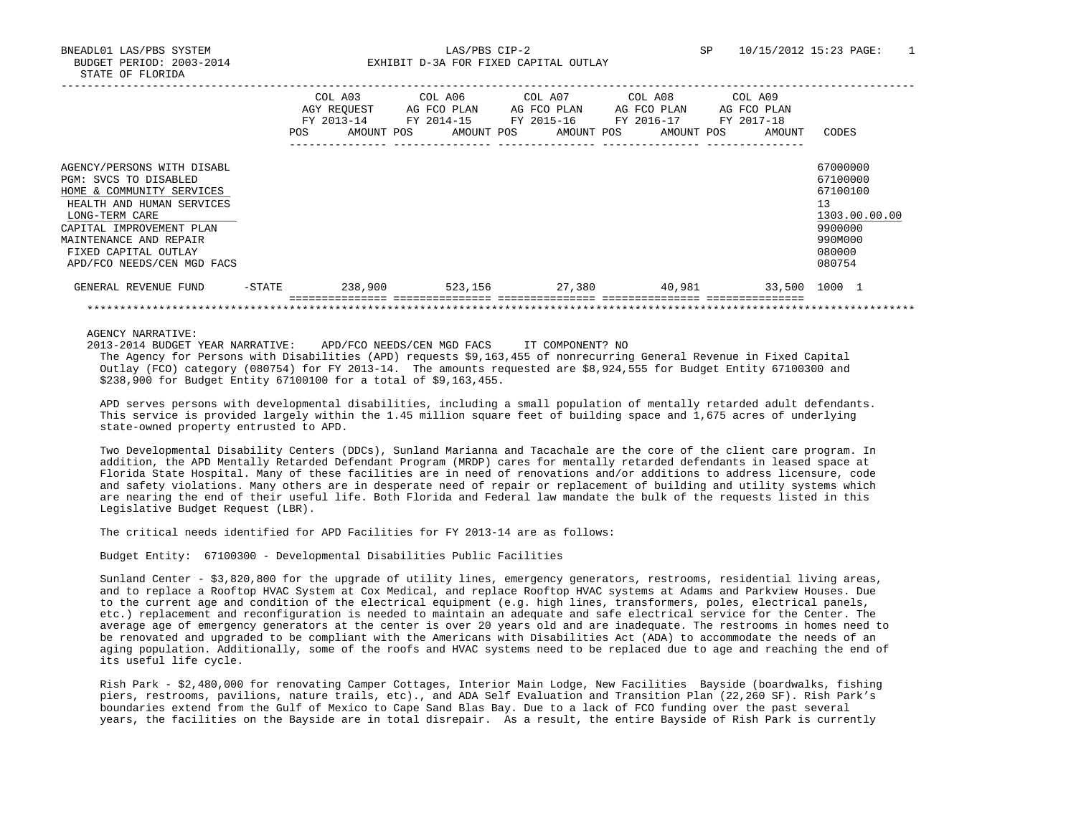BUDGET PERIOD: 2003-2014 **EXHIBIT D-3A FOR FIXED CAPITAL OUTLAY** 

|                                                    |           |            | COL A03<br>AGY REOUEST<br>FY 2013-14 | COL A06<br>AG FCO PLAN<br>FY 2014-15 |            | COL A07<br>FY 2015-16 | AG FCO PLAN | COL A08<br>FY 2016-17 | AG FCO PLAN | COL A09<br>AG FCO PLAN<br>FY 2017-18 |        |                      |
|----------------------------------------------------|-----------|------------|--------------------------------------|--------------------------------------|------------|-----------------------|-------------|-----------------------|-------------|--------------------------------------|--------|----------------------|
|                                                    |           | <b>POS</b> | AMOUNT POS                           |                                      | AMOUNT POS |                       | AMOUNT POS  |                       | AMOUNT POS  |                                      | AMOUNT | CODES                |
|                                                    |           |            |                                      |                                      |            |                       |             |                       |             |                                      |        |                      |
| AGENCY/PERSONS WITH DISABL                         |           |            |                                      |                                      |            |                       |             |                       |             |                                      |        | 67000000             |
| PGM: SVCS TO DISABLED<br>HOME & COMMUNITY SERVICES |           |            |                                      |                                      |            |                       |             |                       |             |                                      |        | 67100000<br>67100100 |
|                                                    |           |            |                                      |                                      |            |                       |             |                       |             |                                      |        | 13                   |
| HEALTH AND HUMAN SERVICES<br>LONG-TERM CARE        |           |            |                                      |                                      |            |                       |             |                       |             |                                      |        | 1303.00.00.00        |
| CAPITAL IMPROVEMENT PLAN                           |           |            |                                      |                                      |            |                       |             |                       |             |                                      |        | 9900000              |
| MAINTENANCE AND REPAIR                             |           |            |                                      |                                      |            |                       |             |                       |             |                                      |        | 990M000              |
| FIXED CAPITAL OUTLAY                               |           |            |                                      |                                      |            |                       |             |                       |             |                                      |        | 080000               |
| APD/FCO NEEDS/CEN MGD FACS                         |           |            |                                      |                                      |            |                       |             |                       |             |                                      |        | 080754               |
| GENERAL REVENUE FUND                               | $-$ STATE |            | 238,900                              |                                      | 523,156    |                       | 27,380      |                       | 40,981      |                                      | 33,500 | 1000 1               |
|                                                    |           |            |                                      |                                      |            |                       |             |                       |             |                                      |        |                      |

AGENCY NARRATIVE:

2013-2014 BUDGET YEAR NARRATIVE: APD/FCO NEEDS/CEN MGD FACS IT COMPONENT? NO

 The Agency for Persons with Disabilities (APD) requests \$9,163,455 of nonrecurring General Revenue in Fixed Capital Outlay (FCO) category (080754) for FY 2013-14. The amounts requested are \$8,924,555 for Budget Entity 67100300 and \$238,900 for Budget Entity 67100100 for a total of \$9,163,455.

 APD serves persons with developmental disabilities, including a small population of mentally retarded adult defendants. This service is provided largely within the 1.45 million square feet of building space and 1,675 acres of underlying state-owned property entrusted to APD.

 Two Developmental Disability Centers (DDCs), Sunland Marianna and Tacachale are the core of the client care program. In addition, the APD Mentally Retarded Defendant Program (MRDP) cares for mentally retarded defendants in leased space at Florida State Hospital. Many of these facilities are in need of renovations and/or additions to address licensure, code and safety violations. Many others are in desperate need of repair or replacement of building and utility systems which are nearing the end of their useful life. Both Florida and Federal law mandate the bulk of the requests listed in this Legislative Budget Request (LBR).

The critical needs identified for APD Facilities for FY 2013-14 are as follows:

Budget Entity: 67100300 - Developmental Disabilities Public Facilities

 Sunland Center - \$3,820,800 for the upgrade of utility lines, emergency generators, restrooms, residential living areas, and to replace a Rooftop HVAC System at Cox Medical, and replace Rooftop HVAC systems at Adams and Parkview Houses. Due to the current age and condition of the electrical equipment (e.g. high lines, transformers, poles, electrical panels, etc.) replacement and reconfiguration is needed to maintain an adequate and safe electrical service for the Center. The average age of emergency generators at the center is over 20 years old and are inadequate. The restrooms in homes need to be renovated and upgraded to be compliant with the Americans with Disabilities Act (ADA) to accommodate the needs of an aging population. Additionally, some of the roofs and HVAC systems need to be replaced due to age and reaching the end of its useful life cycle.

 Rish Park - \$2,480,000 for renovating Camper Cottages, Interior Main Lodge, New Facilities Bayside (boardwalks, fishing piers, restrooms, pavilions, nature trails, etc)., and ADA Self Evaluation and Transition Plan (22,260 SF). Rish Park's boundaries extend from the Gulf of Mexico to Cape Sand Blas Bay. Due to a lack of FCO funding over the past several years, the facilities on the Bayside are in total disrepair. As a result, the entire Bayside of Rish Park is currently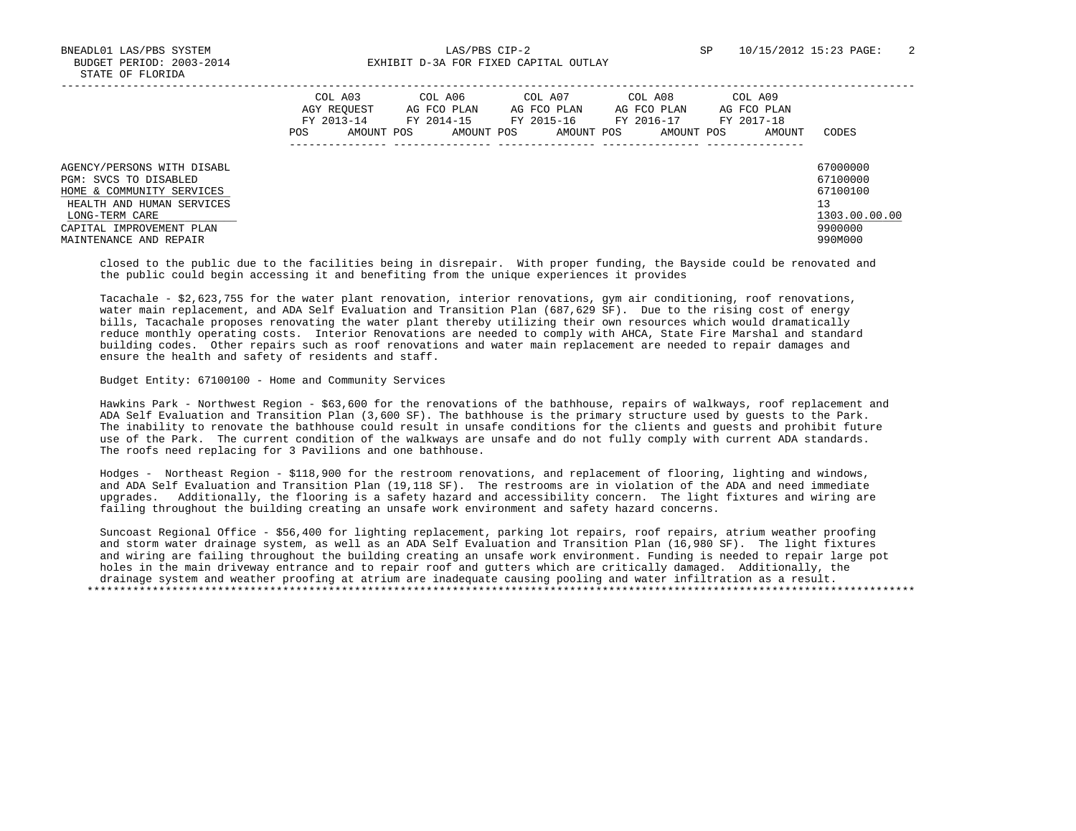BNEADL01 LAS/PBS SYSTEM LAS/PBS CIP-2 SP 10/15/2012 15:23 PAGE: 2 BUDGET PERIOD: 2003-2014 **EXHIBIT D-3A FOR FIXED CAPITAL OUTLAY** 

|                                                                                                                                                                                       | COL A03<br>AGY REOUEST<br>FY 2013-14<br>POS. | COL A06<br>AG FCO PLAN<br>AMOUNT POS<br>AMOUNT POS | COL A07<br>AG FCO PLAN<br>FY 2014-15 FY 2015-16<br>AMOUNT POS | COL A08<br>AG FCO PLAN<br>FY 2016-17<br>AMOUNT POS | COL A09<br>AG FCO PLAN<br>FY 2017-18<br>AMOUNT | CODES                                                                         |
|---------------------------------------------------------------------------------------------------------------------------------------------------------------------------------------|----------------------------------------------|----------------------------------------------------|---------------------------------------------------------------|----------------------------------------------------|------------------------------------------------|-------------------------------------------------------------------------------|
| AGENCY/PERSONS WITH DISABL<br>PGM: SVCS TO DISABLED<br>HOME & COMMUNITY SERVICES<br>HEALTH AND HUMAN SERVICES<br>LONG-TERM CARE<br>CAPITAL IMPROVEMENT PLAN<br>MAINTENANCE AND REPAIR |                                              |                                                    |                                                               |                                                    |                                                | 67000000<br>67100000<br>67100100<br>13<br>1303.00.00.00<br>9900000<br>990M000 |

 closed to the public due to the facilities being in disrepair. With proper funding, the Bayside could be renovated and the public could begin accessing it and benefiting from the unique experiences it provides

 Tacachale - \$2,623,755 for the water plant renovation, interior renovations, gym air conditioning, roof renovations, water main replacement, and ADA Self Evaluation and Transition Plan (687,629 SF). Due to the rising cost of energy bills, Tacachale proposes renovating the water plant thereby utilizing their own resources which would dramatically reduce monthly operating costs. Interior Renovations are needed to comply with AHCA, State Fire Marshal and standard building codes. Other repairs such as roof renovations and water main replacement are needed to repair damages and ensure the health and safety of residents and staff.

## Budget Entity: 67100100 - Home and Community Services

 Hawkins Park - Northwest Region - \$63,600 for the renovations of the bathhouse, repairs of walkways, roof replacement and ADA Self Evaluation and Transition Plan (3,600 SF). The bathhouse is the primary structure used by guests to the Park. The inability to renovate the bathhouse could result in unsafe conditions for the clients and guests and prohibit future use of the Park. The current condition of the walkways are unsafe and do not fully comply with current ADA standards. The roofs need replacing for 3 Pavilions and one bathhouse.

 Hodges - Northeast Region - \$118,900 for the restroom renovations, and replacement of flooring, lighting and windows, and ADA Self Evaluation and Transition Plan (19,118 SF). The restrooms are in violation of the ADA and need immediate upgrades. Additionally, the flooring is a safety hazard and accessibility concern. The light fixtures and wiring are failing throughout the building creating an unsafe work environment and safety hazard concerns.

 Suncoast Regional Office - \$56,400 for lighting replacement, parking lot repairs, roof repairs, atrium weather proofing and storm water drainage system, as well as an ADA Self Evaluation and Transition Plan (16,980 SF). The light fixtures and wiring are failing throughout the building creating an unsafe work environment. Funding is needed to repair large pot holes in the main driveway entrance and to repair roof and gutters which are critically damaged. Additionally, the drainage system and weather proofing at atrium are inadequate causing pooling and water infiltration as a result. \*\*\*\*\*\*\*\*\*\*\*\*\*\*\*\*\*\*\*\*\*\*\*\*\*\*\*\*\*\*\*\*\*\*\*\*\*\*\*\*\*\*\*\*\*\*\*\*\*\*\*\*\*\*\*\*\*\*\*\*\*\*\*\*\*\*\*\*\*\*\*\*\*\*\*\*\*\*\*\*\*\*\*\*\*\*\*\*\*\*\*\*\*\*\*\*\*\*\*\*\*\*\*\*\*\*\*\*\*\*\*\*\*\*\*\*\*\*\*\*\*\*\*\*\*\*\*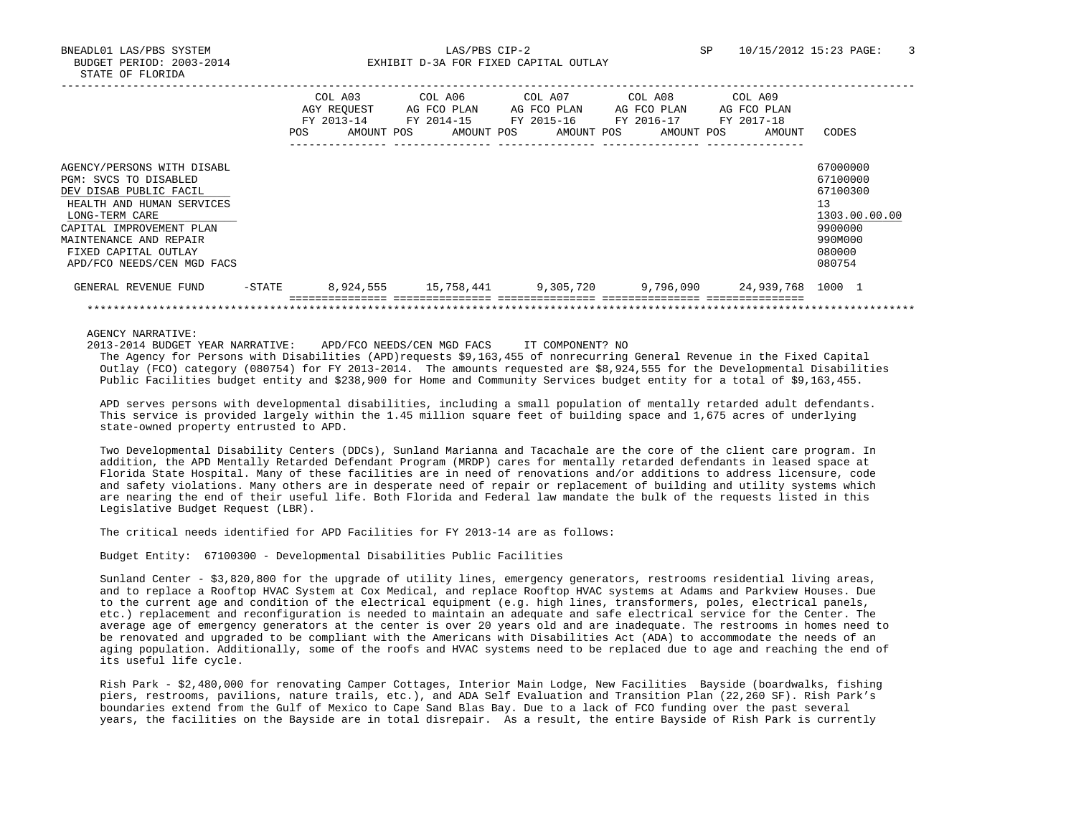BNEADL01 LAS/PBS SYSTEM LAS/PBS CIP-2 SP 10/15/2012 15:23 PAGE: 3 BUDGET PERIOD: 2003-2014 **EXHIBIT D-3A FOR FIXED CAPITAL OUTLAY** 

|                                                                                                                                                                                                                                          | POS.      | COL A03<br>AGY REOUEST<br>FY 2013-14<br>AMOUNT POS | COL A06<br>AG FCO PLAN<br>FY 2014-15<br>AMOUNT POS | COL A07<br>AG FCO PLAN<br>FY 2015-16<br>AMOUNT POS | COL A08<br>AG FCO PLAN<br>FY 2016-17<br>AMOUNT POS | COL A09<br>AG FCO PLAN<br>FY 2017-18<br>AMOUNT | CODES                                                                                             |
|------------------------------------------------------------------------------------------------------------------------------------------------------------------------------------------------------------------------------------------|-----------|----------------------------------------------------|----------------------------------------------------|----------------------------------------------------|----------------------------------------------------|------------------------------------------------|---------------------------------------------------------------------------------------------------|
| AGENCY/PERSONS WITH DISABL<br>PGM: SVCS TO DISABLED<br>DEV DISAB PUBLIC FACIL<br>HEALTH AND HUMAN SERVICES<br>LONG-TERM CARE<br>CAPITAL IMPROVEMENT PLAN<br>MAINTENANCE AND REPAIR<br>FIXED CAPITAL OUTLAY<br>APD/FCO NEEDS/CEN MGD FACS |           |                                                    |                                                    |                                                    |                                                    |                                                | 67000000<br>67100000<br>67100300<br>13<br>1303.00.00.00<br>9900000<br>990M000<br>080000<br>080754 |
| GENERAL REVENUE FUND                                                                                                                                                                                                                     | $-$ STATE | 8,924,555                                          |                                                    |                                                    |                                                    |                                                |                                                                                                   |
|                                                                                                                                                                                                                                          |           |                                                    |                                                    |                                                    |                                                    |                                                |                                                                                                   |

AGENCY NARRATIVE:

2013-2014 BUDGET YEAR NARRATIVE: APD/FCO NEEDS/CEN MGD FACS IT COMPONENT? NO

 The Agency for Persons with Disabilities (APD)requests \$9,163,455 of nonrecurring General Revenue in the Fixed Capital Outlay (FCO) category (080754) for FY 2013-2014. The amounts requested are \$8,924,555 for the Developmental Disabilities Public Facilities budget entity and \$238,900 for Home and Community Services budget entity for a total of \$9,163,455.

 APD serves persons with developmental disabilities, including a small population of mentally retarded adult defendants. This service is provided largely within the 1.45 million square feet of building space and 1,675 acres of underlying state-owned property entrusted to APD.

 Two Developmental Disability Centers (DDCs), Sunland Marianna and Tacachale are the core of the client care program. In addition, the APD Mentally Retarded Defendant Program (MRDP) cares for mentally retarded defendants in leased space at Florida State Hospital. Many of these facilities are in need of renovations and/or additions to address licensure, code and safety violations. Many others are in desperate need of repair or replacement of building and utility systems which are nearing the end of their useful life. Both Florida and Federal law mandate the bulk of the requests listed in this Legislative Budget Request (LBR).

The critical needs identified for APD Facilities for FY 2013-14 are as follows:

Budget Entity: 67100300 - Developmental Disabilities Public Facilities

 Sunland Center - \$3,820,800 for the upgrade of utility lines, emergency generators, restrooms residential living areas, and to replace a Rooftop HVAC System at Cox Medical, and replace Rooftop HVAC systems at Adams and Parkview Houses. Due to the current age and condition of the electrical equipment (e.g. high lines, transformers, poles, electrical panels, etc.) replacement and reconfiguration is needed to maintain an adequate and safe electrical service for the Center. The average age of emergency generators at the center is over 20 years old and are inadequate. The restrooms in homes need to be renovated and upgraded to be compliant with the Americans with Disabilities Act (ADA) to accommodate the needs of an aging population. Additionally, some of the roofs and HVAC systems need to be replaced due to age and reaching the end of its useful life cycle.

 Rish Park - \$2,480,000 for renovating Camper Cottages, Interior Main Lodge, New Facilities Bayside (boardwalks, fishing piers, restrooms, pavilions, nature trails, etc.), and ADA Self Evaluation and Transition Plan (22,260 SF). Rish Park's boundaries extend from the Gulf of Mexico to Cape Sand Blas Bay. Due to a lack of FCO funding over the past several years, the facilities on the Bayside are in total disrepair. As a result, the entire Bayside of Rish Park is currently